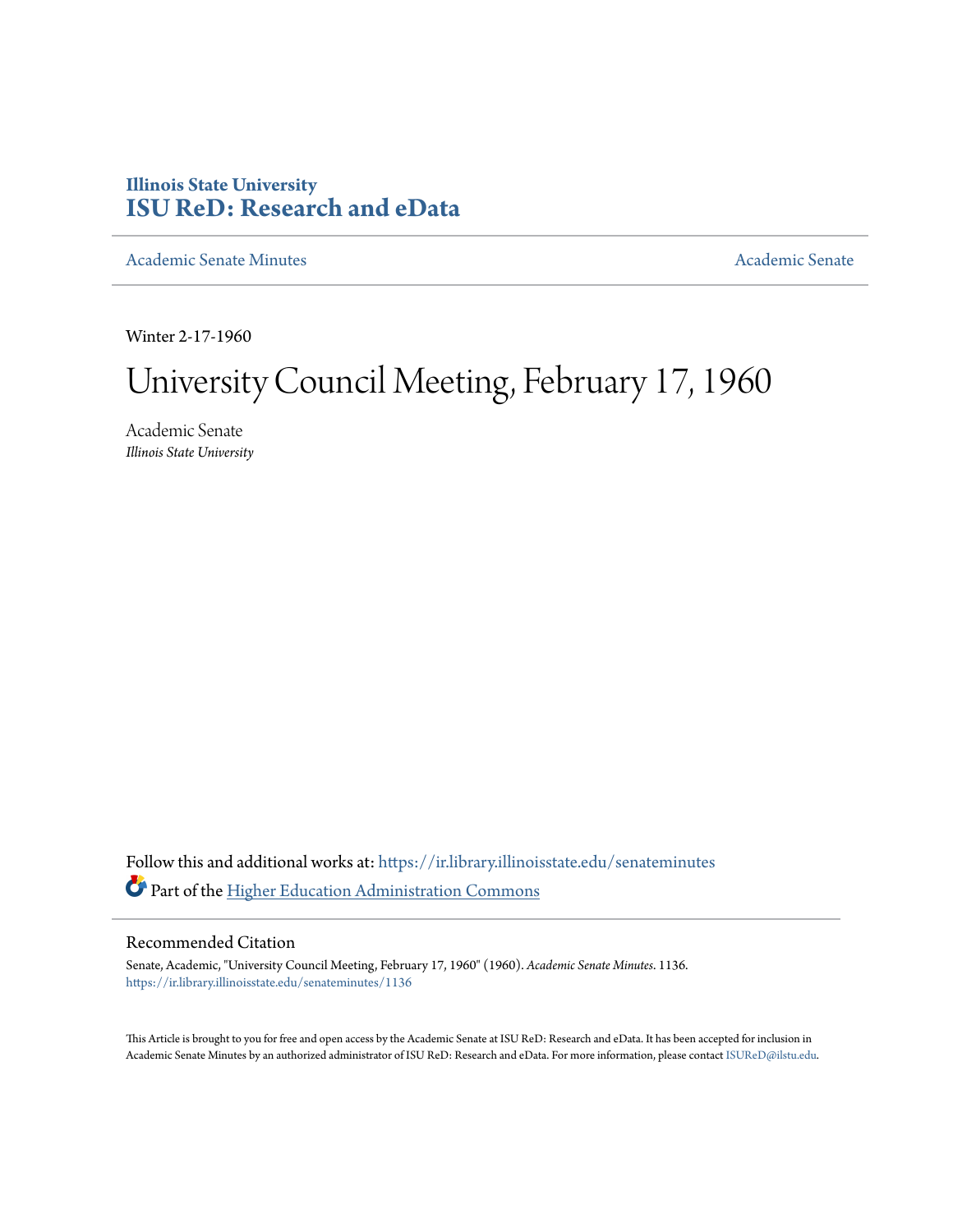## **Illinois State University [ISU ReD: Research and eData](https://ir.library.illinoisstate.edu?utm_source=ir.library.illinoisstate.edu%2Fsenateminutes%2F1136&utm_medium=PDF&utm_campaign=PDFCoverPages)**

[Academic Senate Minutes](https://ir.library.illinoisstate.edu/senateminutes?utm_source=ir.library.illinoisstate.edu%2Fsenateminutes%2F1136&utm_medium=PDF&utm_campaign=PDFCoverPages) [Academic Senate](https://ir.library.illinoisstate.edu/senate?utm_source=ir.library.illinoisstate.edu%2Fsenateminutes%2F1136&utm_medium=PDF&utm_campaign=PDFCoverPages) Academic Senate

Winter 2-17-1960

# University Council Meeting, February 17, 1960

Academic Senate *Illinois State University*

Follow this and additional works at: [https://ir.library.illinoisstate.edu/senateminutes](https://ir.library.illinoisstate.edu/senateminutes?utm_source=ir.library.illinoisstate.edu%2Fsenateminutes%2F1136&utm_medium=PDF&utm_campaign=PDFCoverPages) Part of the [Higher Education Administration Commons](http://network.bepress.com/hgg/discipline/791?utm_source=ir.library.illinoisstate.edu%2Fsenateminutes%2F1136&utm_medium=PDF&utm_campaign=PDFCoverPages)

### Recommended Citation

Senate, Academic, "University Council Meeting, February 17, 1960" (1960). *Academic Senate Minutes*. 1136. [https://ir.library.illinoisstate.edu/senateminutes/1136](https://ir.library.illinoisstate.edu/senateminutes/1136?utm_source=ir.library.illinoisstate.edu%2Fsenateminutes%2F1136&utm_medium=PDF&utm_campaign=PDFCoverPages)

This Article is brought to you for free and open access by the Academic Senate at ISU ReD: Research and eData. It has been accepted for inclusion in Academic Senate Minutes by an authorized administrator of ISU ReD: Research and eData. For more information, please contact [ISUReD@ilstu.edu.](mailto:ISUReD@ilstu.edu)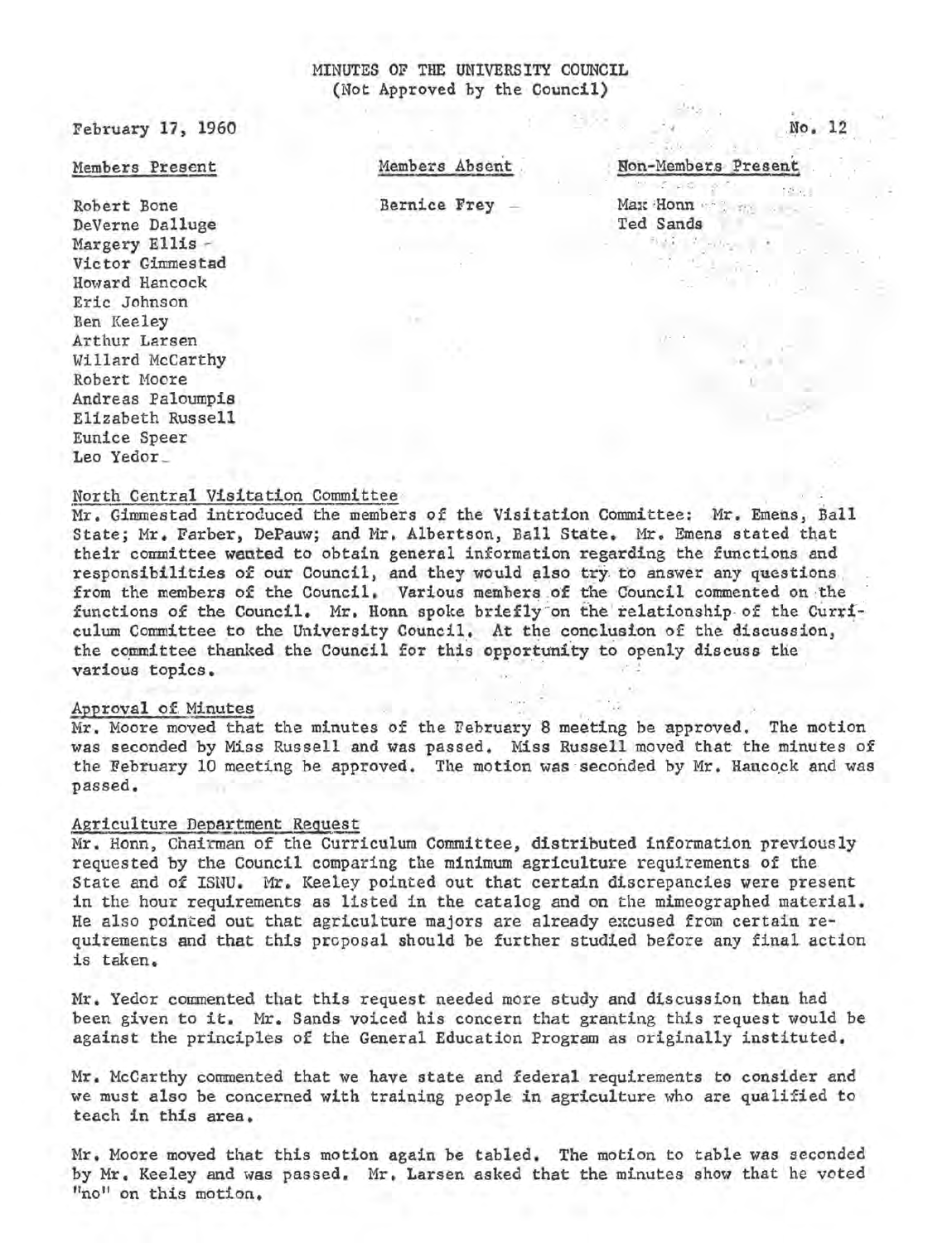### MINUTES OF THE UNIVERSITY COUNCIL (Not Approved by the Council)

February 17, 1960

### Members Present

Robert Bone DeVerne Dalluge Margery Ellis -Vic tor Gimmestad Howard Hancock Eric Johnson Ben Keeley Arthur Larsen Willard McCarthy Robert Moore Andreas Paloumpis Elizabeth Russell Eunice Speer Leo Yedor\_

Members Absent

Bernice Frey -

Non-Members Present

'• ,.·.:; ... ;:!,',

No. 12

 $\cdot\cdot\cdot$  .

 $\label{eq:2.1} \mathcal{L}_{\mathcal{M}}=\mathcal{L}_{\mathcal{M}}\otimes\mathcal{L}_{\mathcal{M}}$ Max Honn Ted Sands

North Central Visitation Committee · <br>Mr. Gimmestad introduced the members of the Visitation Committee: Mr. Emens, Ball State; Mr. Farber, DePauw; and Mr. Albertson, Ball State. Mr. Emens stated that their committee wanted to obtain general information regarding the functions and responsibilities of our Council, and they would also try to answer any questions from the members of the Council. Various members of the Council commented on the functions of the Council. Mr. Honn spoke briefly on the relationship of the Curriculum Committee to the University Council. At the conclusion of the discussion, the committee thanked the Council for this opportunity to openly discuss the various topics.

Approval of Minutes<br>Mr. Moore moved that the minutes of the February 8 meeting be approved. The motion was seconded by Miss Russell and was passed. Miss Russell moved that the minutes of the February 10 meeting be approved. The motion was seconded by Mr. Hancock and was passed.

### Agriculture Department Request

Mr. Honn, Chairman of the Curriculum Committee, distributed information previously requested by the Council comparing the minimum agriculture requirements of the State and of ISNU. Mr. Keeley pointed out that certain discrepancies were present in the hour requirements as listed in the catalog and on the mimeographed material. He also pointed out that agriculture majors are already excused from certain requirements and that this proposal should be further studied before any final action is taken.

Mr. Yedor commented that this request needed more study and discussion than had been given to it. Mr. Sands voiced his concern that granting this request would be against the principles of the General Education Program as originally instituted.

Mr. McCarthy commented that we have state and federal requirements to consider and we must also be concerned with training people in agriculture who are qualified to teach in this area.

Mr. Moore moved that this motion again be tabled. The motion to table was seconded by Mr. Keeley and was passed. Mr. Larsen asked that the minutes show that he voted "no" on this motion.